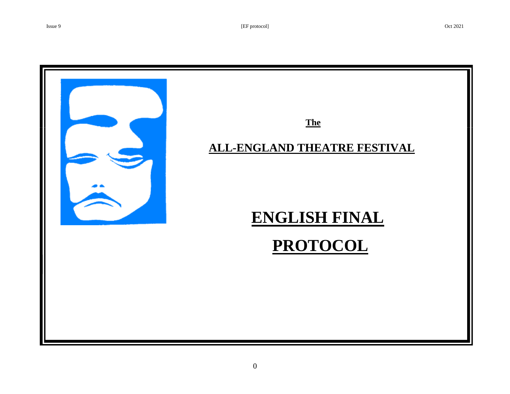

# **ENGLISH FINAL**

# **PROTOCOL**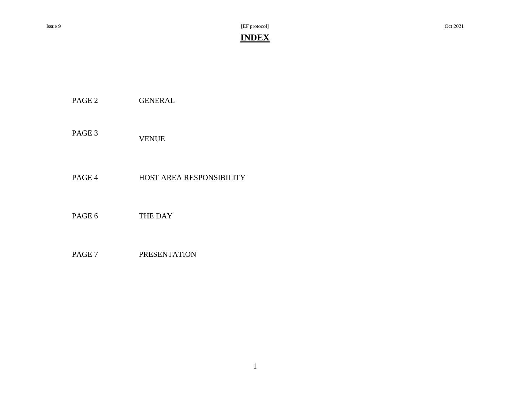Issue 9 [EF protocol] Oct 2021

# **INDEX**

PAGE 2 GENERAL

PAGE 3 VENUE

PAGE 4 HOST AREA RESPONSIBILITY

PAGE 6 THE DAY

PAGE 7 PRESENTATION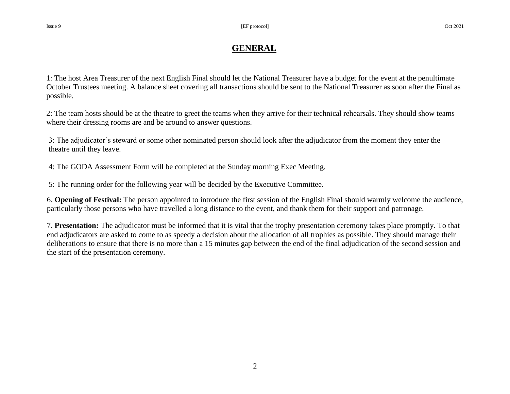# **GENERAL**

1: The host Area Treasurer of the next English Final should let the National Treasurer have a budget for the event at the penultimate October Trustees meeting. A balance sheet covering all transactions should be sent to the National Treasurer as soon after the Final as possible.

2: The team hosts should be at the theatre to greet the teams when they arrive for their technical rehearsals. They should show teams where their dressing rooms are and be around to answer questions.

3: The adjudicator's steward or some other nominated person should look after the adjudicator from the moment they enter the theatre until they leave.

4: The GODA Assessment Form will be completed at the Sunday morning Exec Meeting.

5: The running order for the following year will be decided by the Executive Committee.

6. **Opening of Festival:** The person appointed to introduce the first session of the English Final should warmly welcome the audience, particularly those persons who have travelled a long distance to the event, and thank them for their support and patronage.

7. **Presentation:** The adjudicator must be informed that it is vital that the trophy presentation ceremony takes place promptly. To that end adjudicators are asked to come to as speedy a decision about the allocation of all trophies as possible. They should manage their deliberations to ensure that there is no more than a 15 minutes gap between the end of the final adjudication of the second session and the start of the presentation ceremony.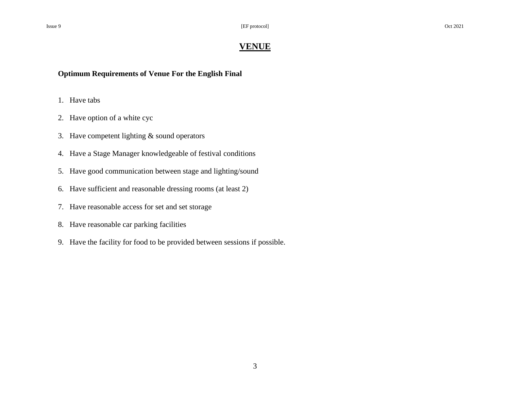## **VENUE**

**Optimum Requirements of Venue For the English Final**

- 1. Have tabs
- 2. Have option of a white cyc
- 3. Have competent lighting & sound operators
- 4. Have a Stage Manager knowledgeable of festival conditions
- 5. Have good communication between stage and lighting/sound
- 6. Have sufficient and reasonable dressing rooms (at least 2)
- 7. Have reasonable access for set and set storage
- 8. Have reasonable car parking facilities
- 9. Have the facility for food to be provided between sessions if possible.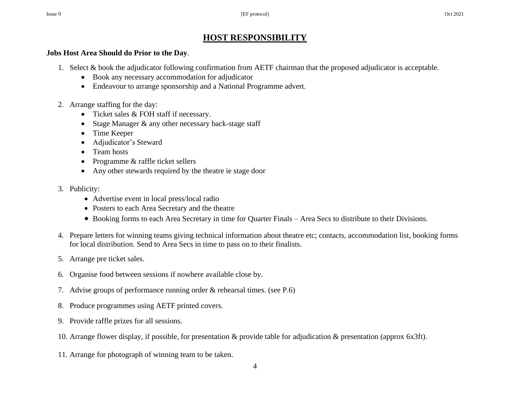# **HOST RESPONSIBILITY**

### **Jobs Host Area Should do Prior to the Day**.

- 1. Select & book the adjudicator following confirmation from AETF chairman that the proposed adjudicator is acceptable.
	- Book any necessary accommodation for adjudicator
	- Endeavour to arrange sponsorship and a National Programme advert.
- 2. Arrange staffing for the day:
	- Ticket sales & FOH staff if necessary.
	- Stage Manager & any other necessary back-stage staff
	- Time Keeper
	- Adjudicator's Steward
	- Team hosts
	- Programme & raffle ticket sellers
	- Any other stewards required by the theatre ie stage door
- 3. Publicity:
	- Advertise event in local press/local radio
	- Posters to each Area Secretary and the theatre
	- Booking forms to each Area Secretary in time for Quarter Finals Area Secs to distribute to their Divisions.
- 4. Prepare letters for winning teams giving technical information about theatre etc; contacts, accommodation list, booking forms for local distribution. Send to Area Secs in time to pass on to their finalists.
- 5. Arrange pre ticket sales.
- 6. Organise food between sessions if nowhere available close by.
- 7. Advise groups of performance running order & rehearsal times. (see P.6)
- 8. Produce programmes using AETF printed covers.
- 9. Provide raffle prizes for all sessions.
- 10. Arrange flower display, if possible, for presentation & provide table for adjudication & presentation (approx 6x3ft).
- 11. Arrange for photograph of winning team to be taken.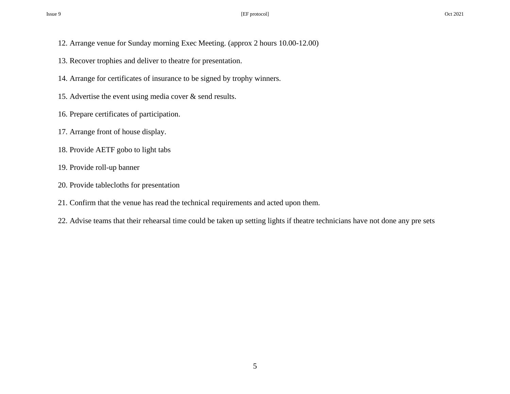- 12. Arrange venue for Sunday morning Exec Meeting. (approx 2 hours 10.00-12.00)
- 13. Recover trophies and deliver to theatre for presentation.
- 14. Arrange for certificates of insurance to be signed by trophy winners.
- 15. Advertise the event using media cover & send results.
- 16. Prepare certificates of participation.
- 17. Arrange front of house display.
- 18. Provide AETF gobo to light tabs
- 19. Provide roll-up banner
- 20. Provide tablecloths for presentation
- 21. Confirm that the venue has read the technical requirements and acted upon them.
- 22. Advise teams that their rehearsal time could be taken up setting lights if theatre technicians have not done any pre sets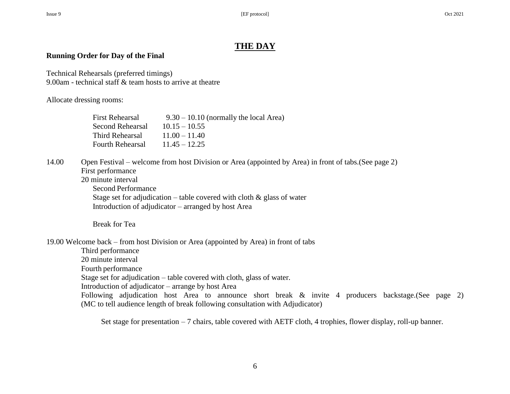# **THE DAY**

### **Running Order for Day of the Final**

Technical Rehearsals (preferred timings) 9.00am - technical staff & team hosts to arrive at theatre

#### Allocate dressing rooms:

| First Rehearsal  | $9.30 - 10.10$ (normally the local Area) |
|------------------|------------------------------------------|
| Second Rehearsal | $10.15 - 10.55$                          |
| Third Rehearsal  | $11.00 - 11.40$                          |
| Fourth Rehearsal | $11.45 - 12.25$                          |

#### 14.00 Open Festival – welcome from host Division or Area (appointed by Area) in front of tabs.(See page 2) First performance

20 minute interval Second Performance Stage set for adjudication – table covered with cloth  $\&$  glass of water Introduction of adjudicator – arranged by host Area

Break for Tea

19.00 Welcome back – from host Division or Area (appointed by Area) in front of tabs

Third performance 20 minute interval

Fourth performance

Stage set for adjudication – table covered with cloth, glass of water.

Introduction of adjudicator – arrange by host Area

Following adjudication host Area to announce short break & invite 4 producers backstage. (See page 2) (MC to tell audience length of break following consultation with Adjudicator)

Set stage for presentation – 7 chairs, table covered with AETF cloth, 4 trophies, flower display, roll-up banner.